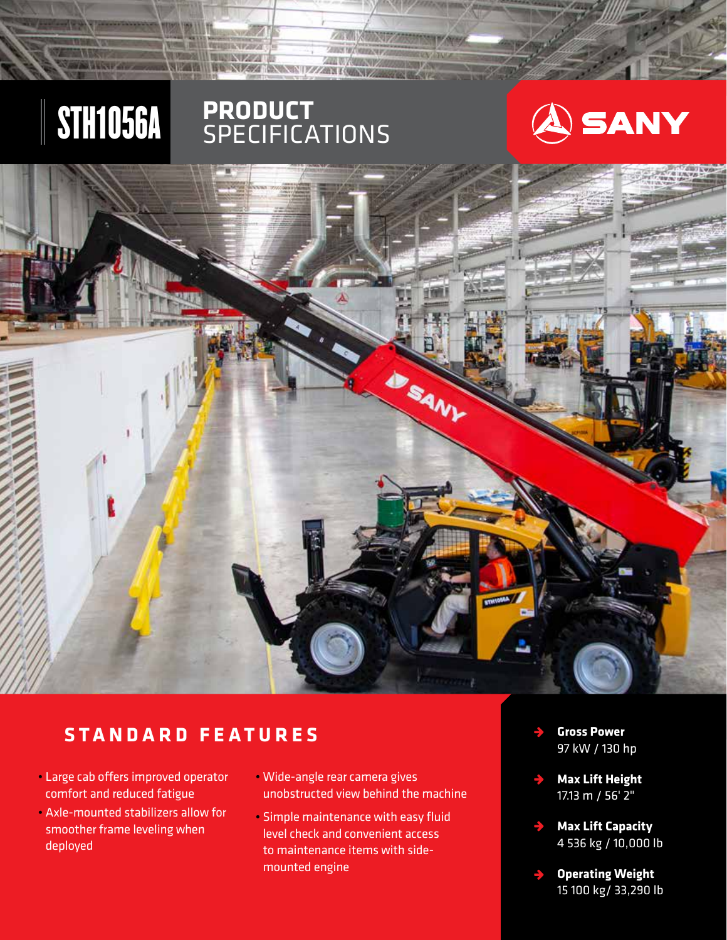# STH1056A PRODUCT<br>SPECIFICATIONS

**DENTIL THEFT IN 17274 TV** 

**NEATHER NEWS NIZZERONE** 





//////// **CONSTITUTIONS** 

**ALL C. ALLIANCE** 

### **STANDARD FEATURES**

- Large cab offers improved operator comfort and reduced fatigue
- Axle-mounted stabilizers allow for smoother frame leveling when deployed
- Wide-angle rear camera gives unobstructed view behind the machine
- Simple maintenance with easy fluid level check and convenient access to maintenance items with sidemounted engine
- **Gross Power**  97 kW / 130 hp
- **Max Lift Height**  $\rightarrow$ 17.13 m / 56' 2"
- **Max Lift Capacity**   $\rightarrow$ 4 536 kg / 10,000 lb
	- **Operating Weight** 15 100 kg/ 33,290 lb